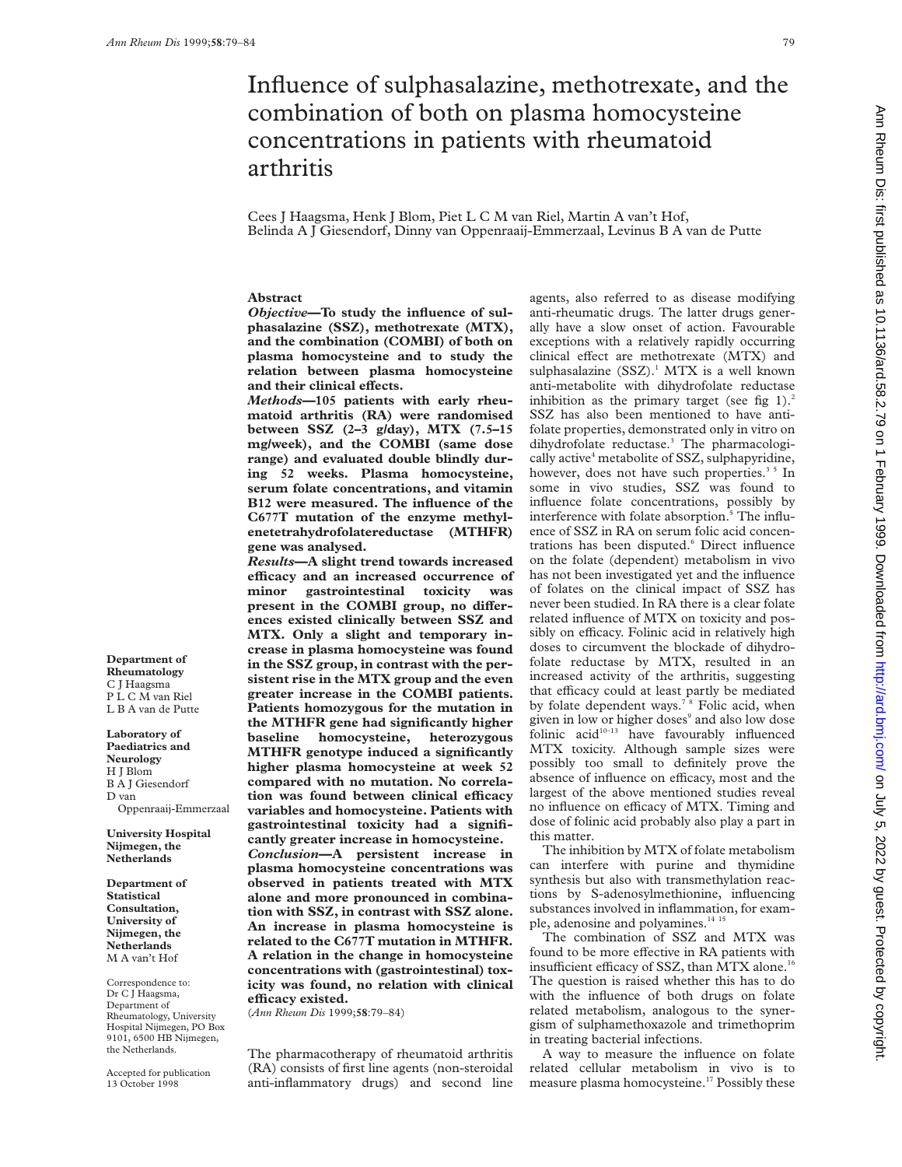# Influence of sulphasalazine, methotrexate, and the combination of both on plasma homocysteine concentrations in patients with rheumatoid arthritis

Cees J Haagsma, Henk J Blom, Piet L C M van Riel, Martin A van't Hof, Belinda A J Giesendorf, Dinny van Oppenraaij-Emmerzaal, Levinus B A van de Putte

## **Abstract**

*Objective***—To study the influence of sulphasalazine (SSZ), methotrexate (MTX), and the combination (COMBI) of both on plasma homocysteine and to study the relation between plasma homocysteine** and their clinical effects.

*Methods***—105 patients with early rheumatoid arthritis (RA) were randomised between SSZ (2–3 g/day), MTX (7.5–15 mg/week), and the COMBI (same dose range) and evaluated double blindly during 52 weeks. Plasma homocysteine, serum folate concentrations, and vitamin B12 were measured. The influence of the C677T mutation of the enzyme methylenetetrahydrofolatereductase (MTHFR) gene was analysed.**

*Results***—A slight trend towards increased eYcacy and an increased occurrence of minor gastrointestinal toxicity was** present in the COMBI group, no differ**ences existed clinically between SSZ and MTX. Only a slight and temporary increase in plasma homocysteine was found in the SSZ group, in contrast with the persistent rise in the MTX group and the even greater increase in the COMBI patients. Patients homozygous for the mutation in the MTHFR gene had significantly higher baseline homocysteine, heterozygous MTHFR genotype induced a significantly higher plasma homocysteine at week 52 compared with no mutation. No correlation was found between clinical efficacy variables and homocysteine. Patients with gastrointestinal toxicity had a significantly greater increase in homocysteine.** *Conclusion***—A persistent increase in plasma homocysteine concentrations was observed in patients treated with MTX alone and more pronounced in combination with SSZ, in contrast with SSZ alone. An increase in plasma homocysteine is related to the C677T mutation in MTHFR. A relation in the change in homocysteine concentrations with (gastrointestinal) toxicity was found, no relation with clinical eYcacy existed.**

(*Ann Rheum Dis* 1999;**58**:79–84)

The pharmacotherapy of rheumatoid arthritis (RA) consists of first line agents (non-steroidal anti-inflammatory drugs) and second line

agents, also referred to as disease modifying anti-rheumatic drugs. The latter drugs generally have a slow onset of action. Favourable exceptions with a relatively rapidly occurring clinical effect are methotrexate (MTX) and sulphasalazine (SSZ).<sup>1</sup> MTX is a well known anti-metabolite with dihydrofolate reductase inhibition as the primary target (see fig  $1$ ).<sup>2</sup> SSZ has also been mentioned to have antifolate properties, demonstrated only in vitro on dihydrofolate reductase.3 The pharmacologically active<sup>4</sup> metabolite of SSZ, sulphapyridine, however, does not have such properties.<sup>35</sup> In some in vivo studies, SSZ was found to influence folate concentrations, possibly by interference with folate absorption.<sup>5</sup> The influence of SSZ in RA on serum folic acid concentrations has been disputed.<sup>6</sup> Direct influence on the folate (dependent) metabolism in vivo has not been investigated yet and the influence of folates on the clinical impact of SSZ has never been studied. In RA there is a clear folate related influence of MTX on toxicity and possibly on efficacy. Folinic acid in relatively high doses to circumvent the blockade of dihydrofolate reductase by MTX, resulted in an increased activity of the arthritis, suggesting that efficacy could at least partly be mediated by folate dependent ways.<sup>78</sup> Folic acid, when given in low or higher doses<sup>9</sup> and also low dose folinic acid<sup>10-13</sup> have favourably influenced MTX toxicity. Although sample sizes were possibly too small to definitely prove the absence of influence on efficacy, most and the largest of the above mentioned studies reveal no influence on efficacy of MTX. Timing and dose of folinic acid probably also play a part in this matter.

The inhibition by MTX of folate metabolism can interfere with purine and thymidine synthesis but also with transmethylation reactions by S-adenosylmethionine, influencing substances involved in inflammation, for example, adenosine and polyamines.<sup>14 15</sup>

The combination of SSZ and MTX was found to be more effective in RA patients with insufficient efficacy of SSZ, than MTX alone.<sup>16</sup> The question is raised whether this has to do with the influence of both drugs on folate related metabolism, analogous to the synergism of sulphamethoxazole and trimethoprim in treating bacterial infections.

A way to measure the influence on folate related cellular metabolism in vivo is to measure plasma homocysteine.<sup>17</sup> Possibly these

http://ard.bm/bight. Protected by copyright. Publishight. Protected as 2022 by Guest. Publishight. Published as 10.1136.2.5.2.5.2.5.2.5.2.5.2.5.2.5.1139. Downloaded as 10.1136.2.5.2.5.2.79 on 1 February 1999. Downloaded fr Ann Rheum Dis: first published as 10.1136/ard.58.2.79 on 1 February 1999. Downloaded from http://ard.bmj.com/ on July 5, 2022 by guest. Protected by copyright

**Department of Rheumatology** C J Haagsma P L C M van Riel L B A van de Putte

#### **Laboratory of Paediatrics and Neurology** H I Blom B A J Giesendorf D van Oppenraaij-Emmerzaal

**University Hospital Nijmegen, the**

**Department of Statistical Consultation, University of Nijmegen, the Netherlands** M A van't Hof

**Netherlands**

Correspondence to: Dr C J Haagsma, Department of Rheumatology, University Hospital Nijmegen, PO Box 9101, 6500 HB Nijmegen, the Netherlands.

Accepted for publication 13 October 1998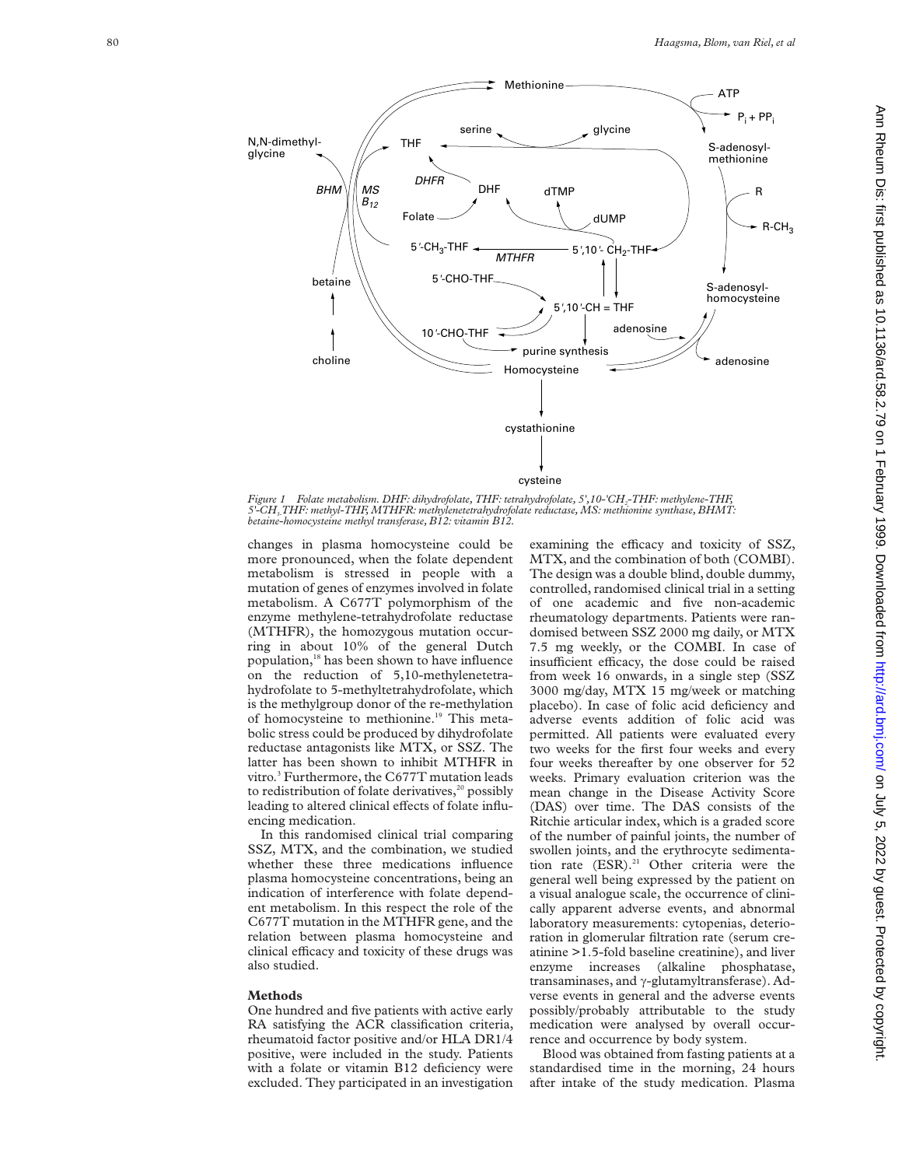

*Figure 1 Folate metabolism. DHF: dihydrofolate, THF: tetrahydrofolate, 5',10-'CH2-THF: methylene-THF, 5'-CH3-THF: methyl-THF, MTHFR: methylenetetrahydrofolate reductase, MS: methionine synthase, BHMT: betaine-homocysteine methyl transferase, B12: vitamin B12.*

changes in plasma homocysteine could be more pronounced, when the folate dependent metabolism is stressed in people with a mutation of genes of enzymes involved in folate metabolism. A C677T polymorphism of the enzyme methylene-tetrahydrofolate reductase (MTHFR), the homozygous mutation occurring in about 10% of the general Dutch population,18 has been shown to have influence on the reduction of 5,10-methylenetetrahydrofolate to 5-methyltetrahydrofolate, which is the methylgroup donor of the re-methylation of homocysteine to methionine.<sup>19</sup> This metabolic stress could be produced by dihydrofolate reductase antagonists like MTX, or SSZ. The latter has been shown to inhibit MTHFR in vitro. <sup>3</sup> Furthermore, the C677T mutation leads to redistribution of folate derivatives, $20$  possibly leading to altered clinical effects of folate influencing medication.

In this randomised clinical trial comparing SSZ, MTX, and the combination, we studied whether these three medications influence plasma homocysteine concentrations, being an indication of interference with folate dependent metabolism. In this respect the role of the C677T mutation in the MTHFR gene, and the relation between plasma homocysteine and clinical efficacy and toxicity of these drugs was also studied.

#### **Methods**

One hundred and five patients with active early RA satisfying the ACR classification criteria, rheumatoid factor positive and/or HLA DR1/4 positive, were included in the study. Patients with a folate or vitamin B12 deficiency were excluded. They participated in an investigation

examining the efficacy and toxicity of SSZ, MTX, and the combination of both (COMBI). The design was a double blind, double dummy, controlled, randomised clinical trial in a setting of one academic and five non-academic rheumatology departments. Patients were randomised between SSZ 2000 mg daily, or MTX 7.5 mg weekly, or the COMBI. In case of insufficient efficacy, the dose could be raised from week 16 onwards, in a single step (SSZ 3000 mg/day, MTX 15 mg/week or matching placebo). In case of folic acid deficiency and adverse events addition of folic acid was permitted. All patients were evaluated every two weeks for the first four weeks and every four weeks thereafter by one observer for 52 weeks. Primary evaluation criterion was the mean change in the Disease Activity Score (DAS) over time. The DAS consists of the Ritchie articular index, which is a graded score of the number of painful joints, the number of swollen joints, and the erythrocyte sedimentation rate (ESR).<sup>21</sup> Other criteria were the general well being expressed by the patient on a visual analogue scale, the occurrence of clinically apparent adverse events, and abnormal laboratory measurements: cytopenias, deterioration in glomerular filtration rate (serum creatinine >1.5-fold baseline creatinine), and liver enzyme increases (alkaline phosphatase, transaminases, and y-glutamyltransferase). Adverse events in general and the adverse events possibly/probably attributable to the study medication were analysed by overall occurrence and occurrence by body system.

Blood was obtained from fasting patients at a standardised time in the morning, 24 hours after intake of the study medication. Plasma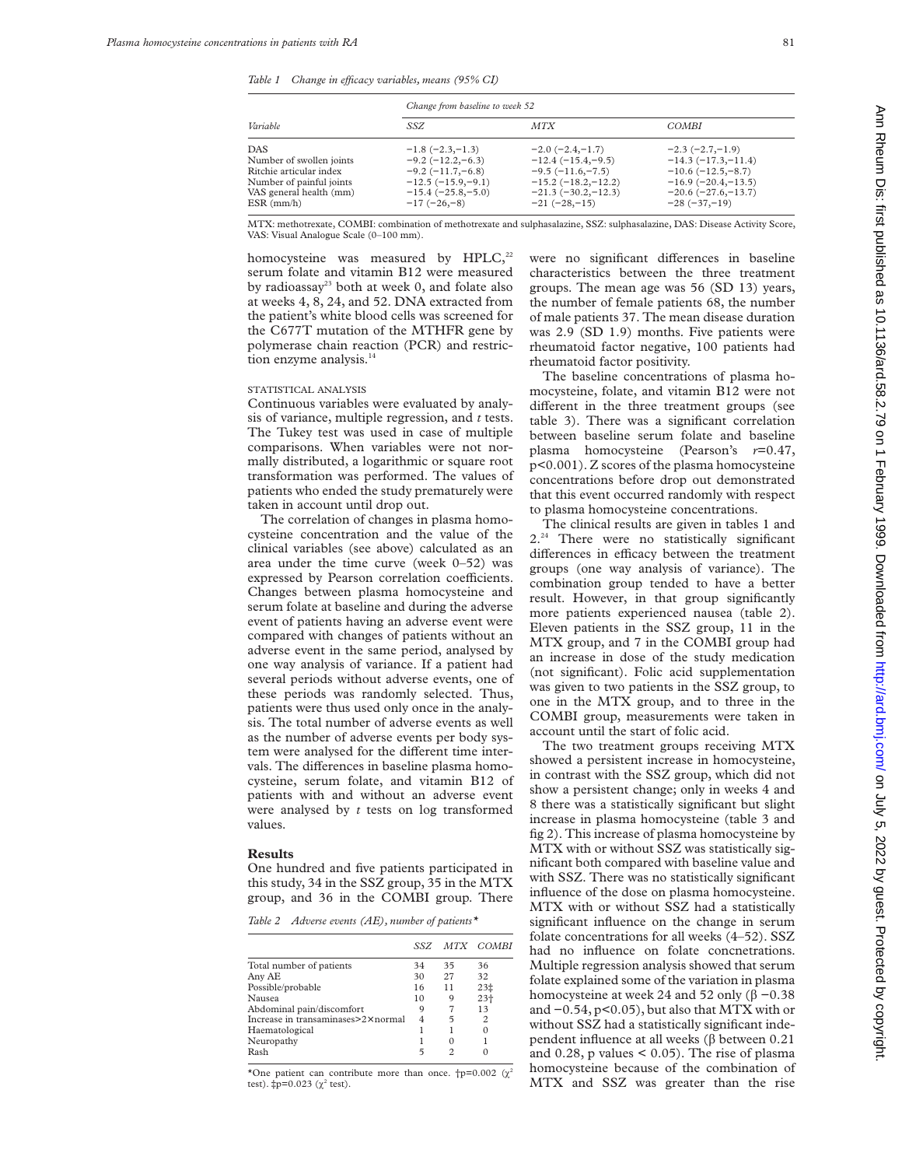*Table 1 Change in efficacy variables, means (95% CI)* 

|                                                                                                                                          | Change from baseline to week 52                                                                                                |                                                                                                                                  |                                                                                                                                    |  |  |  |  |
|------------------------------------------------------------------------------------------------------------------------------------------|--------------------------------------------------------------------------------------------------------------------------------|----------------------------------------------------------------------------------------------------------------------------------|------------------------------------------------------------------------------------------------------------------------------------|--|--|--|--|
| Variable                                                                                                                                 | SSZ.                                                                                                                           | <i>MTX</i>                                                                                                                       | <i>COMBI</i>                                                                                                                       |  |  |  |  |
| <b>DAS</b><br>Number of swollen joints<br>Ritchie articular index<br>Number of painful joints<br>VAS general health (mm)<br>$ESR$ (mm/h) | $-1.8(-2.3,-1.3)$<br>$-9.2 (-12.2,-6.3)$<br>$-9.2(-11.7,-6.8)$<br>$-12.5(-15.9,-9.1)$<br>$-15.4 (-25.8,-5.0)$<br>$-17(-26,-8)$ | $-2.0(-2.4,-1.7)$<br>$-12.4(-15.4,-9.5)$<br>$-9.5(-11.6,-7.5)$<br>$-15.2(-18.2,-12.2)$<br>$-21.3(-30.2,-12.3)$<br>$-21(-28,-15)$ | $-2.3(-2.7,-1.9)$<br>$-14.3(-17.3,-11.4)$<br>$-10.6(-12.5,-8.7)$<br>$-16.9(-20.4,-13.5)$<br>$-20.6(-27.6,-13.7)$<br>$-28(-37,-19)$ |  |  |  |  |

MTX: methotrexate, COMBI: combination of methotrexate and sulphasalazine, SSZ: sulphasalazine, DAS: Disease Activity Score, VAS: Visual Analogue Scale (0–100 mm).

homocysteine was measured by HPLC,<sup>22</sup> serum folate and vitamin B12 were measured by radioassay<sup>23</sup> both at week 0, and folate also at weeks 4, 8, 24, and 52. DNA extracted from the patient's white blood cells was screened for the C677T mutation of the MTHFR gene by polymerase chain reaction (PCR) and restriction enzyme analysis.<sup>14</sup>

### STATISTICAL ANALYSIS

Continuous variables were evaluated by analysis of variance, multiple regression, and *t* tests. The Tukey test was used in case of multiple comparisons. When variables were not normally distributed, a logarithmic or square root transformation was performed. The values of patients who ended the study prematurely were taken in account until drop out.

The correlation of changes in plasma homocysteine concentration and the value of the clinical variables (see above) calculated as an area under the time curve (week 0–52) was expressed by Pearson correlation coefficients. Changes between plasma homocysteine and serum folate at baseline and during the adverse event of patients having an adverse event were compared with changes of patients without an adverse event in the same period, analysed by one way analysis of variance. If a patient had several periods without adverse events, one of these periods was randomly selected. Thus, patients were thus used only once in the analysis. The total number of adverse events as well as the number of adverse events per body system were analysed for the different time intervals. The differences in baseline plasma homocysteine, serum folate, and vitamin B12 of patients with and without an adverse event were analysed by *t* tests on log transformed values.

#### **Results**

One hundred and five patients participated in this study, 34 in the SSZ group, 35 in the MTX group, and 36 in the COMBI group. There

*Table 2 Adverse events (AE), number of patients\**

|                                     |    |    | SSZ MTX COMBI   |
|-------------------------------------|----|----|-----------------|
| Total number of patients            | 34 | 35 | 36              |
| Any AE                              | 30 | 27 | 32              |
| Possible/probable                   | 16 | 11 | 23 <sub>1</sub> |
| Nausea                              | 10 | 9  | $23 +$          |
| Abdominal pain/discomfort           |    |    | 13              |
| Increase in transaminases>2× normal |    | 5  | 2               |
| Haematological                      |    |    |                 |
| Neuropathy                          |    |    |                 |
| Rash                                |    |    |                 |
|                                     |    |    |                 |

\*One patient can contribute more than once.  $\uparrow p=0.002$  ( $\chi^2$ test).  $\ddagger p = 0.023$  ( $\chi^2$  test).

were no significant differences in baseline characteristics between the three treatment groups. The mean age was 56 (SD 13) years, the number of female patients 68, the number of male patients 37. The mean disease duration was 2.9 (SD 1.9) months. Five patients were rheumatoid factor negative, 100 patients had rheumatoid factor positivity.

The baseline concentrations of plasma homocysteine, folate, and vitamin B12 were not different in the three treatment groups (see table 3). There was a significant correlation between baseline serum folate and baseline plasma homocysteine (Pearson's *r*=0.47, p<0.001). Z scores of the plasma homocysteine concentrations before drop out demonstrated that this event occurred randomly with respect to plasma homocysteine concentrations.

The clinical results are given in tables 1 and 2.<sup>24</sup> There were no statistically significant differences in efficacy between the treatment groups (one way analysis of variance). The combination group tended to have a better result. However, in that group significantly more patients experienced nausea (table 2). Eleven patients in the SSZ group, 11 in the MTX group, and 7 in the COMBI group had an increase in dose of the study medication (not significant). Folic acid supplementation was given to two patients in the SSZ group, to one in the MTX group, and to three in the COMBI group, measurements were taken in account until the start of folic acid.

The two treatment groups receiving MTX showed a persistent increase in homocysteine, in contrast with the SSZ group, which did not show a persistent change; only in weeks 4 and 8 there was a statistically significant but slight increase in plasma homocysteine (table 3 and fig 2). This increase of plasma homocysteine by MTX with or without SSZ was statistically significant both compared with baseline value and with SSZ. There was no statistically significant influence of the dose on plasma homocysteine. MTX with or without SSZ had a statistically significant influence on the change in serum folate concentrations for all weeks (4–52). SSZ had no influence on folate concnetrations. Multiple regression analysis showed that serum folate explained some of the variation in plasma homocysteine at week 24 and 52 only ( $\beta$  –0.38 and −0.54, p<0.05), but also that MTX with or without SSZ had a statistically significant independent influence at all weeks ( $\beta$  between 0.21 and  $0.28$ , p values  $\leq 0.05$ ). The rise of plasma homocysteine because of the combination of MTX and SSZ was greater than the rise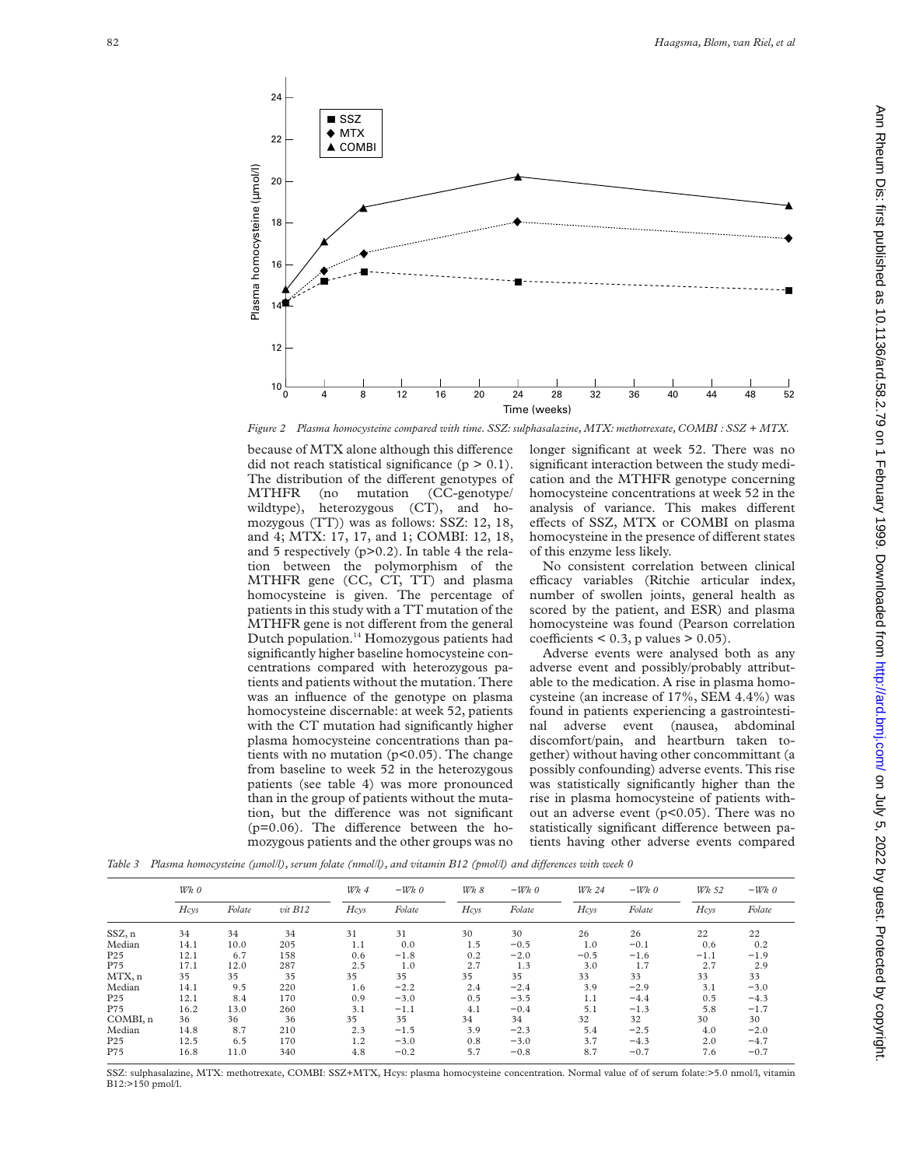

*Figure 2 Plasma homocysteine compared with time. SSZ: sulphasalazine, MTX: methotrexate, COMBI : SSZ + MTX.*

because of MTX alone although this difference did not reach statistical significance  $(p > 0.1)$ . The distribution of the different genotypes of MTHFR (no mutation (CC-genotype/ wildtype), heterozygous (CT), and homozygous (TT)) was as follows: SSZ: 12, 18, and 4; MTX: 17, 17, and 1; COMBI: 12, 18, and 5 respectively (p>0.2). In table 4 the relation between the polymorphism of the MTHFR gene (CC, CT, TT) and plasma homocysteine is given. The percentage of patients in this study with a TT mutation of the MTHFR gene is not different from the general Dutch population.14 Homozygous patients had significantly higher baseline homocysteine concentrations compared with heterozygous patients and patients without the mutation. There was an influence of the genotype on plasma homocysteine discernable: at week 52, patients with the CT mutation had significantly higher plasma homocysteine concentrations than patients with no mutation (p<0.05). The change from baseline to week 52 in the heterozygous patients (see table 4) was more pronounced than in the group of patients without the mutation, but the difference was not significant  $(p=0.06)$ . The difference between the homozygous patients and the other groups was no

longer significant at week 52. There was no significant interaction between the study medication and the MTHFR genotype concerning homocysteine concentrations at week 52 in the analysis of variance. This makes different effects of SSZ, MTX or COMBI on plasma homocysteine in the presence of different states of this enzyme less likely.

No consistent correlation between clinical efficacy variables (Ritchie articular index, number of swollen joints, general health as scored by the patient, and ESR) and plasma homocysteine was found (Pearson correlation coefficients  $< 0.3$ , p values  $> 0.05$ ).

Adverse events were analysed both as any adverse event and possibly/probably attributable to the medication. A rise in plasma homocysteine (an increase of 17%, SEM 4.4%) was found in patients experiencing a gastrointestinal adverse event (nausea, abdominal discomfort/pain, and heartburn taken together) without having other concommittant (a possibly confounding) adverse events. This rise was statistically significantly higher than the rise in plasma homocysteine of patients without an adverse event  $(p<0.05)$ . There was no statistically significant difference between patients having other adverse events compared

*Table 3 Plasma homocysteine (umol/l), serum folate (nmol/l), and vitamin B12 (pmol/l) and differences with week 0* 

|                 | Wk0                       |      |                | $Wk$ 4 | $-Wk$ 0 | $Wk$ 8 | $-Wk$ 0 | Wk 24  | $-Wk$ 0 | Wk 52  | $-Wk$ 0 |
|-----------------|---------------------------|------|----------------|--------|---------|--------|---------|--------|---------|--------|---------|
|                 | vit B12<br>Folate<br>Hcvs |      | Folate<br>Hcvs |        | Hcvs    | Folate | Hcvs    |        | Hcvs    | Folate |         |
| SSZ, n          | 34                        | 34   | 34             | 31     | 31      | 30     | 30      | 26     | 26      | 22     | 22      |
| Median          | 14.1                      | 10.0 | 205            | 1.1    | 0.0     | 1.5    | $-0.5$  | 1.0    | $-0.1$  | 0.6    | 0.2     |
| P <sub>25</sub> | 12.1                      | 6.7  | 158            | 0.6    | $-1.8$  | 0.2    | $-2.0$  | $-0.5$ | $-1.6$  | $-1.1$ | $-1.9$  |
| P75             | 17.1                      | 12.0 | 287            | 2.5    | 1.0     | 2.7    | 1.3     | 3.0    | 1.7     | 2.7    | 2.9     |
| MTX, n          | 35                        | 35   | 35             | 35     | 35      | 35     | 35      | 33     | 33      | 33     | 33      |
| Median          | 14.1                      | 9.5  | 220            | 1.6    | $-2.2$  | 2.4    | $-2.4$  | 3.9    | $-2.9$  | 3.1    | $-3.0$  |
| P <sub>25</sub> | 12.1                      | 8.4  | 170            | 0.9    | $-3.0$  | 0.5    | $-3.5$  | 1.1    | $-4.4$  | 0.5    | $-4.3$  |
| P75             | 16.2                      | 13.0 | 260            | 3.1    | $-1.1$  | 4.1    | $-0.4$  | 5.1    | $-1.3$  | 5.8    | $-1.7$  |
| COMBI, n        | 36                        | 36   | 36             | 35     | 35      | 34     | 34      | 32     | 32      | 30     | 30      |
| Median          | 14.8                      | 8.7  | 210            | 2.3    | $-1.5$  | 3.9    | $-2.3$  | 5.4    | $-2.5$  | 4.0    | $-2.0$  |
| P <sub>25</sub> | 12.5                      | 6.5  | 170            | 1.2    | $-3.0$  | 0.8    | $-3.0$  | 3.7    | $-4.3$  | 2.0    | $-4.7$  |
| P75             | 16.8                      | 11.0 | 340            | 4.8    | $-0.2$  | 5.7    | $-0.8$  | 8.7    | $-0.7$  | 7.6    | $-0.7$  |

SSZ: sulphasalazine, MTX: methotrexate, COMBI: SSZ+MTX, Hcys: plasma homocysteine concentration. Normal value of of serum folate:>5.0 nmol/l, vitamin B12:>150 pmol/l.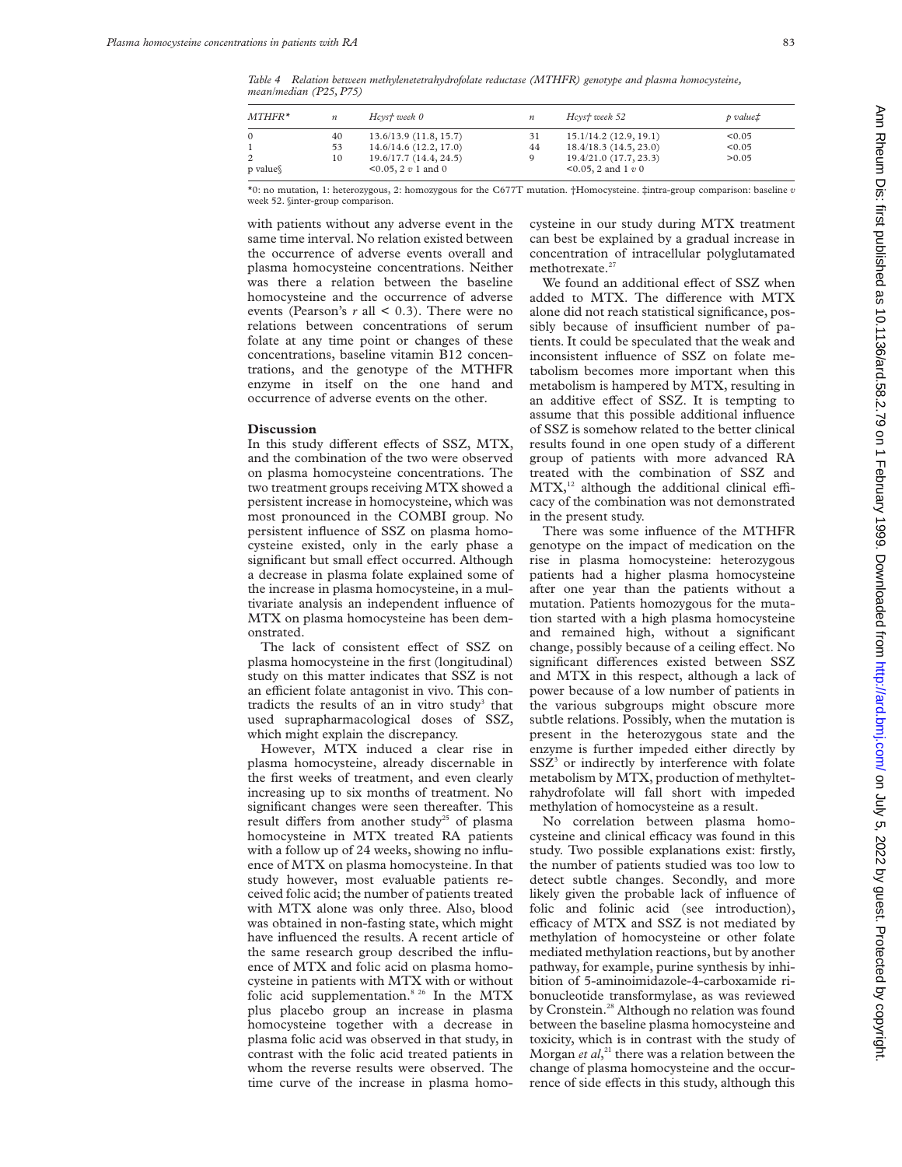*Table 4 Relation between methylenetetrahydrofolate reductase (MTHFR) genotype and plasma homocysteine, mean/median (P25, P75)*

| $MTHFR*$      | n  | Hcyst week 0                                   | n  | Hcyst week 52                                   | $p$ value $\ddagger$ |
|---------------|----|------------------------------------------------|----|-------------------------------------------------|----------------------|
| $\mathbf{0}$  | 40 | $13.6/13.9$ (11.8, 15.7)                       | 31 | $15.1/14.2$ (12.9, 19.1)                        | < 0.05               |
|               | 53 | 14.6/14.6 (12.2, 17.0)                         | 44 | 18.4/18.3(14.5, 23.0)                           | < 0.05               |
| 2<br>p values | 10 | 19.6/17.7 (14.4, 24.5)<br>$0.05$ , 2 v 1 and 0 |    | 19.4/21.0 (17.7, 23.3)<br>$0.05, 2$ and $1 v 0$ | >0.05                |

\*0: no mutation, 1: heterozygous, 2: homozygous for the C677T mutation. †Homocysteine. ‡intra-group comparison: baseline *v* week 52. §inter-group comparison.

with patients without any adverse event in the same time interval. No relation existed between the occurrence of adverse events overall and plasma homocysteine concentrations. Neither was there a relation between the baseline homocysteine and the occurrence of adverse events (Pearson's *r* all < 0.3). There were no relations between concentrations of serum folate at any time point or changes of these concentrations, baseline vitamin B12 concentrations, and the genotype of the MTHFR enzyme in itself on the one hand and occurrence of adverse events on the other.

#### **Discussion**

In this study different effects of SSZ, MTX, and the combination of the two were observed on plasma homocysteine concentrations. The two treatment groups receiving MTX showed a persistent increase in homocysteine, which was most pronounced in the COMBI group. No persistent influence of SSZ on plasma homocysteine existed, only in the early phase a significant but small effect occurred. Although a decrease in plasma folate explained some of the increase in plasma homocysteine, in a multivariate analysis an independent influence of MTX on plasma homocysteine has been demonstrated.

The lack of consistent effect of SSZ on plasma homocysteine in the first (longitudinal) study on this matter indicates that SSZ is not an efficient folate antagonist in vivo. This contradicts the results of an in vitro study<sup>3</sup> that used suprapharmacological doses of SSZ, which might explain the discrepancy.

However, MTX induced a clear rise in plasma homocysteine, already discernable in the first weeks of treatment, and even clearly increasing up to six months of treatment. No significant changes were seen thereafter. This result differs from another study<sup>25</sup> of plasma homocysteine in MTX treated RA patients with a follow up of 24 weeks, showing no influence of MTX on plasma homocysteine. In that study however, most evaluable patients received folic acid; the number of patients treated with MTX alone was only three. Also, blood was obtained in non-fasting state, which might have influenced the results. A recent article of the same research group described the influence of MTX and folic acid on plasma homocysteine in patients with MTX with or without folic acid supplementation.<sup>8 26</sup> In the MTX plus placebo group an increase in plasma homocysteine together with a decrease in plasma folic acid was observed in that study, in contrast with the folic acid treated patients in whom the reverse results were observed. The time curve of the increase in plasma homocysteine in our study during MTX treatment can best be explained by a gradual increase in concentration of intracellular polyglutamated methotrexate.<sup>27</sup>

We found an additional effect of SSZ when added to MTX. The difference with MTX alone did not reach statistical significance, possibly because of insufficient number of patients. It could be speculated that the weak and inconsistent influence of SSZ on folate metabolism becomes more important when this metabolism is hampered by MTX, resulting in an additive effect of SSZ. It is tempting to assume that this possible additional influence of SSZ is somehow related to the better clinical results found in one open study of a different group of patients with more advanced RA treated with the combination of SSZ and  $MTX<sub>12</sub>$  although the additional clinical efficacy of the combination was not demonstrated in the present study.

There was some influence of the MTHFR genotype on the impact of medication on the rise in plasma homocysteine: heterozygous patients had a higher plasma homocysteine after one year than the patients without a mutation. Patients homozygous for the mutation started with a high plasma homocysteine and remained high, without a significant change, possibly because of a ceiling effect. No significant differences existed between SSZ and MTX in this respect, although a lack of power because of a low number of patients in the various subgroups might obscure more subtle relations. Possibly, when the mutation is present in the heterozygous state and the enzyme is further impeded either directly by  $SSZ<sup>3</sup>$  or indirectly by interference with folate metabolism by MTX, production of methyltetrahydrofolate will fall short with impeded methylation of homocysteine as a result.

No correlation between plasma homocysteine and clinical efficacy was found in this study. Two possible explanations exist: firstly, the number of patients studied was too low to detect subtle changes. Secondly, and more likely given the probable lack of influence of folic and folinic acid (see introduction), efficacy of MTX and SSZ is not mediated by methylation of homocysteine or other folate mediated methylation reactions, but by another pathway, for example, purine synthesis by inhibition of 5-aminoimidazole-4-carboxamide ribonucleotide transformylase, as was reviewed by Cronstein.<sup>28</sup> Although no relation was found between the baseline plasma homocysteine and toxicity, which is in contrast with the study of Morgan *et al*, <sup>21</sup> there was a relation between the change of plasma homocysteine and the occurrence of side effects in this study, although this